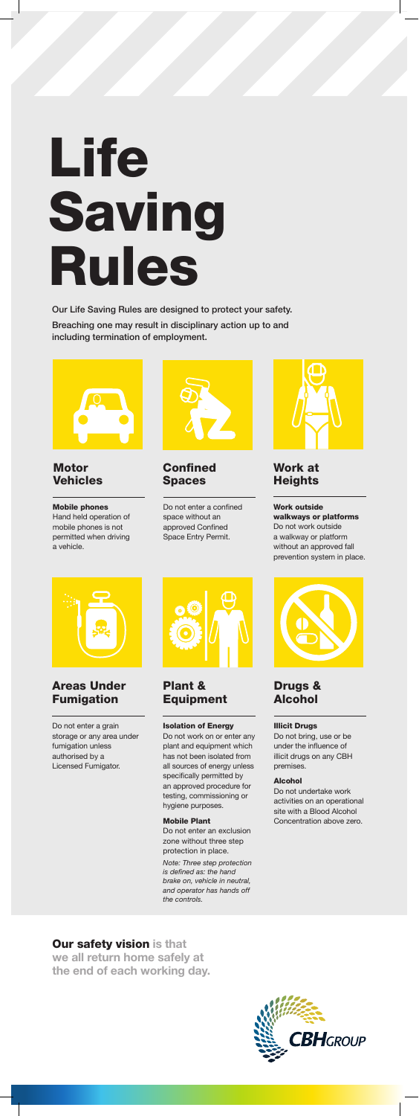Our Life Saving Rules are designed to protect your safety. Breaching one may result in disciplinary action up to and including termination of employment.



**Confined** Spaces

#### **Motor** Vehicles

Do not enter a confined space without an approved Confined Space Entry Permit.



Work at **Heights** 

Mobile phones Hand held operation of mobile phones is not permitted when driving a vehicle.



Work outside walkways or platforms Do not work outside a walkway or platform without an approved fall prevention system in place.



#### Illicit Drugs

Do not bring, use or be under the influence of illicit drugs on any CBH premises.

#### Alcohol

Do not undertake work activities on an operational site with a Blood Alcohol

Concentration above zero.

#### Drugs & Alcohol

Do not enter a grain storage or any area under fumigation unless authorised by a Licensed Fumigator.



#### Areas Under Fumigation

#### Isolation of Energy

Do not work on or enter any plant and equipment which has not been isolated from all sources of energy unless specifically permitted by an approved procedure for testing, commissioning or hygiene purposes.



#### Mobile Plant

Do not enter an exclusion zone without three step protection in place.

*Note: Three step protection is defined as: the hand brake on, vehicle in neutral, and operator has hands off the controls.* 

#### Plant & Equipment

Our safety vision **is that we all return home safely at the end of each working day.** 

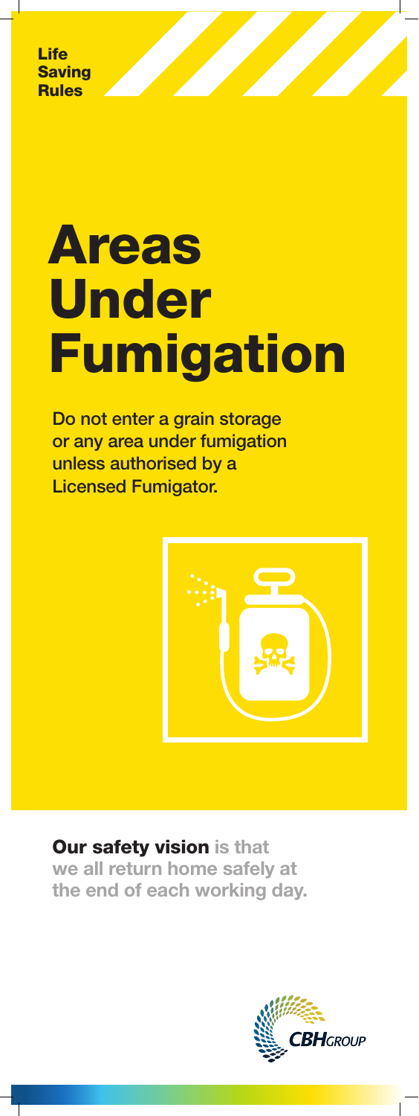## Our safety vision **is that we all return home safely at the end of each working day.**



# Areas Under **Fumigation**

Do not enter a grain storage or any area under fumigation unless authorised by a Licensed Fumigator.

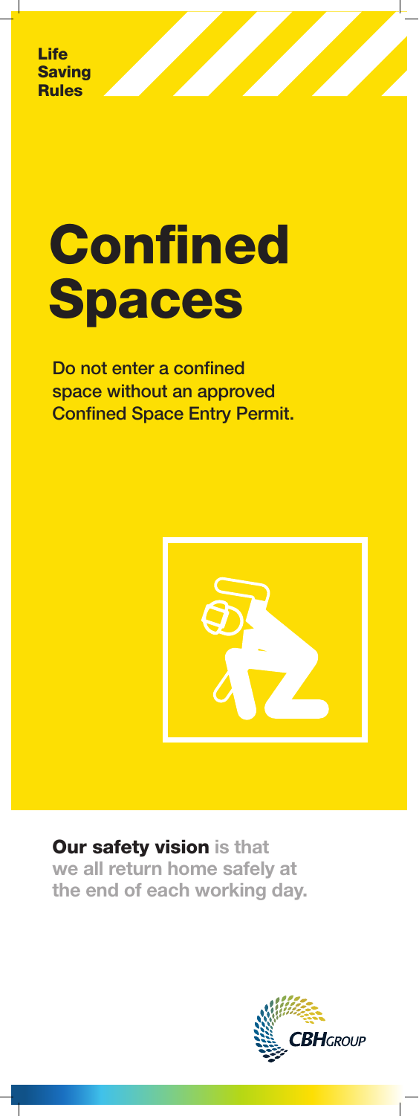# **Confined** Spaces

## Our safety vision **is that we all return home safely at the end of each working day.**



Do not enter a confined space without an approved Confined Space Entry Permit.

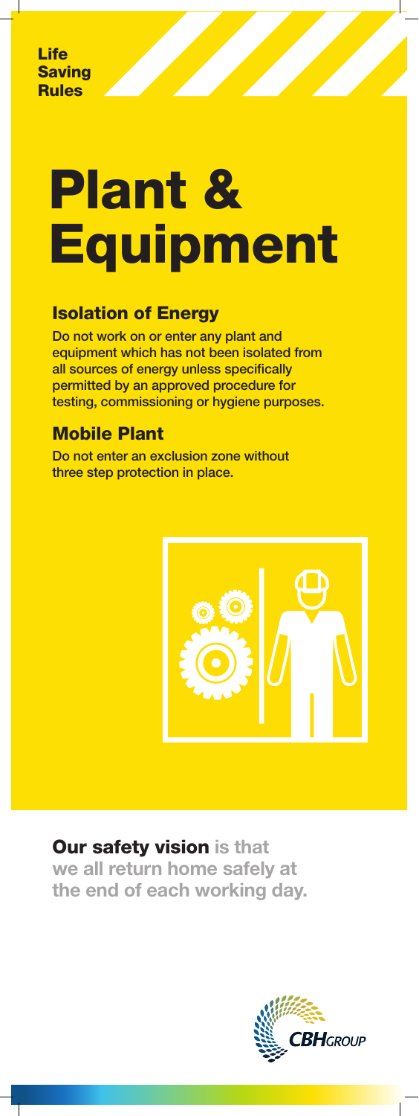## Our safety vision **is that we all return home safely at the end of each working day.**



#### Isolation of Energy

# Plant & **Equipment**

Do not work on or enter any plant and equipment which has not been isolated from all sources of energy unless specifically permitted by an approved procedure for testing, commissioning or hygiene purposes.

## Mobile Plant

Do not enter an exclusion zone without three step protection in place.

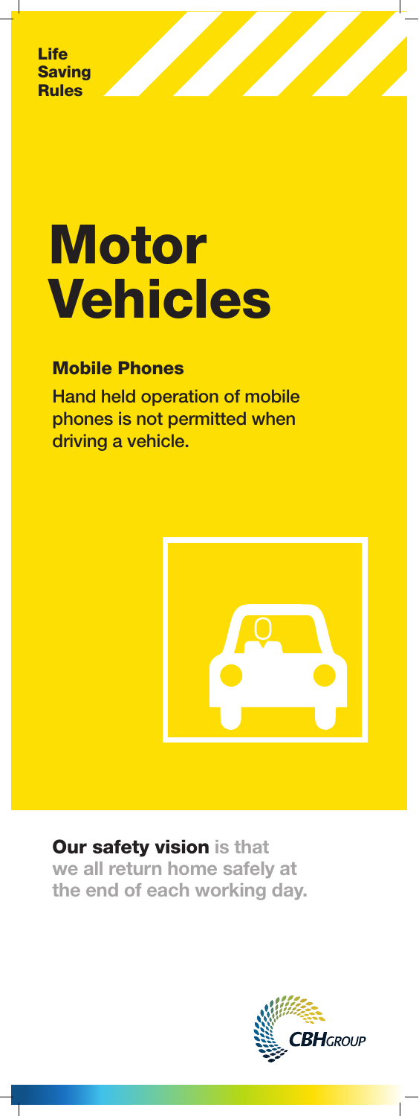## Our safety vision **is that we all return home safely at the end of each working day.**



## **Motor** Vehicles

#### Mobile Phones

Hand held operation of mobile phones is not permitted when driving a vehicle.

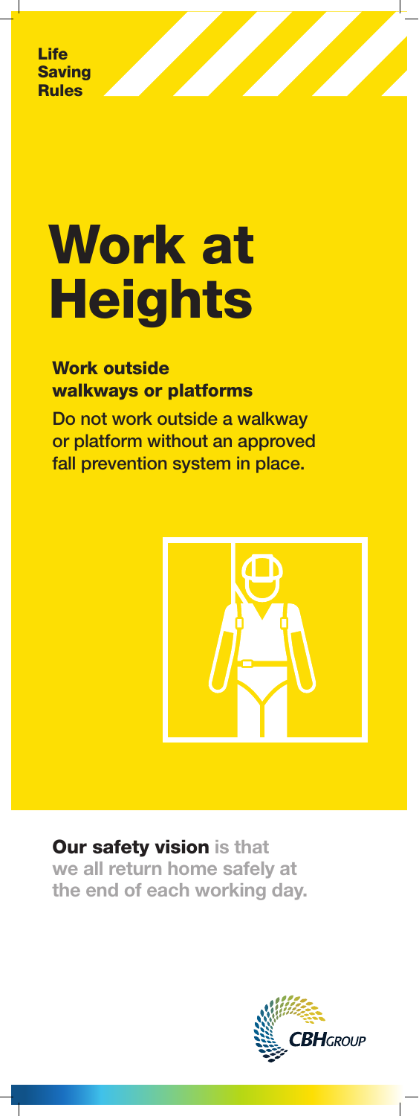## Our safety vision **is that we all return home safely at the end of each working day.**



# Work at **Heights**

Work outside walkways or platforms

Do not work outside a walkway or platform without an approved fall prevention system in place.